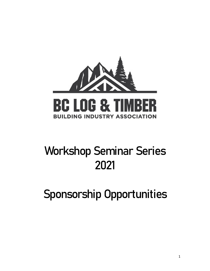

# Workshop Seminar Series 2021

Sponsorship Opportunities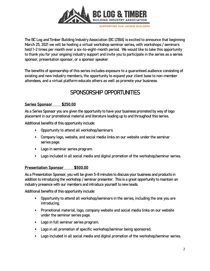

The BC Log and Timber Building Industry Association (BC LTBIA) is excited to announce that beginning March 25, 2021 we will be hosting a virtual workshop seminar series, with workshops / seminars held 1-2 times per month over a six-to-eight-month period. We would like to take this opportunity to thank you for your ongoing industry support and invite you to participate in the series as a series sponsor, presentation sponsor, or a sponsor speaker.

The benefits of sponsorship of this series includes exposure to a guaranteed audience consisting of existing and new industry members, the opportunity to expand your client base to non-member attendees, and a virtual platform educate others as well as promote your business.

## SPONSORSHIP OPPORTUNITIES

#### Series Sponsor \$250.00

As a Series Sponsor you are given the opportunity to have your business promoted by way of logo placement in our promotional material and literature leading up to and throughout this series.

Additional benefits of this opportunity include:

- *•* Opportunity to attend all workshop/seminars.
- *•* Company logo, website, and social media links on our website under the seminar series page.
- *•* Logo in seminar series program.
- *•* Logo included in all social media and digital promotion of the workshop/seminar series.

#### **Presentation Sponsor \$500.00**

As a Presentation Sponsor, you will be given 5-8 minutes to discuss your business and products in addition to introducing the workshop / seminar presenter. This is a great opportunity to maintain an industry presence with our members and introduce yourself to new leads.

Additional benefits of this opportunity include:

- *•* Opportunity to attend all workshop/seminars in the series, including the one you are introducing.
- *•* Promotional material, logo, company website and social media links on our website under the seminar series page.
- *•* Logo in full seminar series program.
- *•* Logo in all promotion of specific workshop/seminar being sponsored.
- *•* Logo included in all social media and digital promotion of the workshop/seminar series.